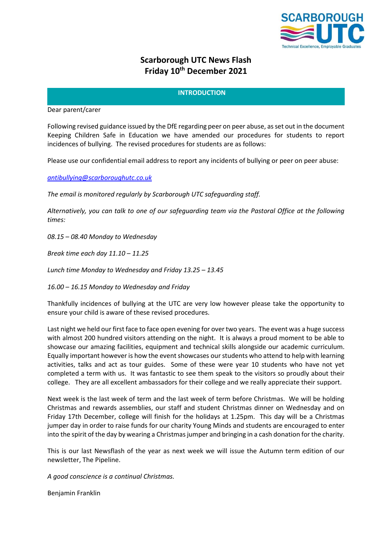

# **Scarborough UTC News Flash Friday 10th December 2021**

# **INTRODUCTION**

Dear parent/carer

Following revised guidance issued by the DfE regarding peer on peer abuse, as set out in the document Keeping Children Safe in Education we have amended our procedures for students to report incidences of bullying. The revised procedures for students are as follows:

Please use our confidential email address to report any incidents of bullying or peer on peer abuse:

*[antibullying@scarboroughutc.co.uk](mailto:antibullying@scarboroughutc.co.uk)*

*The email is monitored regularly by Scarborough UTC safeguarding staff.*

*Alternatively, you can talk to one of our safeguarding team via the Pastoral Office at the following times:*

*08.15 – 08.40 Monday to Wednesday*

*Break time each day 11.10 – 11.25*

*Lunch time Monday to Wednesday and Friday 13.25 – 13.45*

*16.00 – 16.15 Monday to Wednesday and Friday*

Thankfully incidences of bullying at the UTC are very low however please take the opportunity to ensure your child is aware of these revised procedures.

Last night we held our first face to face open evening for over two years. The event was a huge success with almost 200 hundred visitors attending on the night. It is always a proud moment to be able to showcase our amazing facilities, equipment and technical skills alongside our academic curriculum. Equally important however is how the event showcases our students who attend to help with learning activities, talks and act as tour guides. Some of these were year 10 students who have not yet completed a term with us. It was fantastic to see them speak to the visitors so proudly about their college. They are all excellent ambassadors for their college and we really appreciate their support.

Next week is the last week of term and the last week of term before Christmas. We will be holding Christmas and rewards assemblies, our staff and student Christmas dinner on Wednesday and on Friday 17th December, college will finish for the holidays at 1.25pm. This day will be a Christmas jumper day in order to raise funds for our charity Young Minds and students are encouraged to enter into the spirit of the day by wearing a Christmas jumper and bringing in a cash donation for the charity.

This is our last Newsflash of the year as next week we will issue the Autumn term edition of our newsletter, The Pipeline.

*A good conscience is a continual Christmas.*

Benjamin Franklin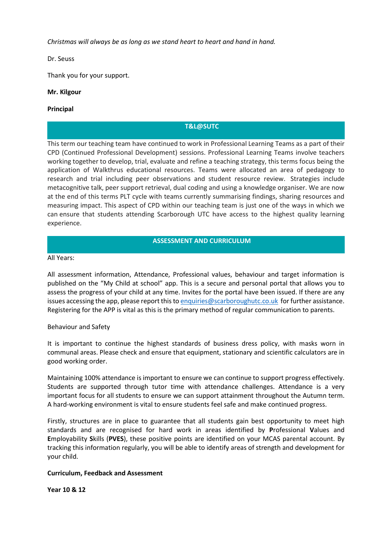*Christmas will always be as long as we stand heart to heart and hand in hand.*

Dr. Seuss

Thank you for your support.

# **Mr. Kilgour**

## **Principal**

# **T&L@SUTC**

This term our teaching team have continued to work in Professional Learning Teams as a part of their CPD (Continued Professional Development) sessions. Professional Learning Teams involve teachers working together to develop, trial, evaluate and refine a teaching strategy, this terms focus being the application of Walkthrus educational resources. Teams were allocated an area of pedagogy to research and trial including peer observations and student resource review. Strategies include metacognitive talk, peer support retrieval, dual coding and using a knowledge organiser. We are now at the end of this terms PLT cycle with teams currently summarising findings, sharing resources and measuring impact. This aspect of CPD within our teaching team is just one of the ways in which we can ensure that students attending Scarborough UTC have access to the highest quality learning experience.

## **ASSESSMENT AND CURRICULUM**

#### All Years:

All assessment information, Attendance, Professional values, behaviour and target information is published on the "My Child at school" app. This is a secure and personal portal that allows you to assess the progress of your child at any time. Invites for the portal have been issued. If there are any issues accessing the app, please report this t[o enquiries@scarboroughutc.co.uk](mailto:enquiries@scarboroughutc.co.uk) for further assistance. Registering for the APP is vital as this is the primary method of regular communication to parents.

#### Behaviour and Safety

It is important to continue the highest standards of business dress policy, with masks worn in communal areas. Please check and ensure that equipment, stationary and scientific calculators are in good working order.

Maintaining 100% attendance is important to ensure we can continue to support progress effectively. Students are supported through tutor time with attendance challenges. Attendance is a very important focus for all students to ensure we can support attainment throughout the Autumn term. A hard-working environment is vital to ensure students feel safe and make continued progress.

Firstly, structures are in place to guarantee that all students gain best opportunity to meet high standards and are recognised for hard work in areas identified by **P**rofessional **V**alues and **E**mployability **S**kills (**PVES**), these positive points are identified on your MCAS parental account. By tracking this information regularly, you will be able to identify areas of strength and development for your child.

#### **Curriculum, Feedback and Assessment**

**Year 10 & 12**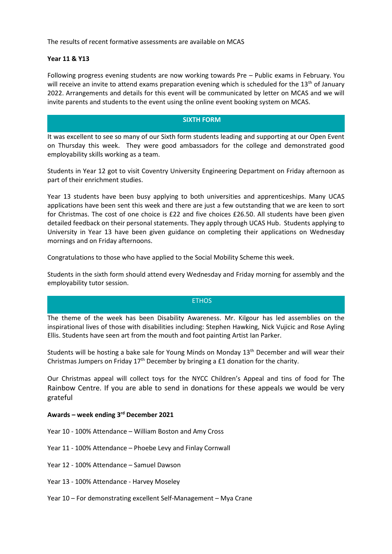The results of recent formative assessments are available on MCAS

#### **Year 11 & Y13**

Following progress evening students are now working towards Pre – Public exams in February. You will receive an invite to attend exams preparation evening which is scheduled for the 13<sup>th</sup> of January 2022. Arrangements and details for this event will be communicated by letter on MCAS and we will invite parents and students to the event using the online event booking system on MCAS.

#### **SIXTH FORM**

It was excellent to see so many of our Sixth form students leading and supporting at our Open Event on Thursday this week. They were good ambassadors for the college and demonstrated good employability skills working as a team.

Students in Year 12 got to visit Coventry University Engineering Department on Friday afternoon as part of their enrichment studies.

Year 13 students have been busy applying to both universities and apprenticeships. Many UCAS applications have been sent this week and there are just a few outstanding that we are keen to sort for Christmas. The cost of one choice is £22 and five choices £26.50. All students have been given detailed feedback on their personal statements. They apply through UCAS Hub. Students applying to University in Year 13 have been given guidance on completing their applications on Wednesday mornings and on Friday afternoons.

Congratulations to those who have applied to the Social Mobility Scheme this week.

Students in the sixth form should attend every Wednesday and Friday morning for assembly and the employability tutor session.

#### **ETHOS**

The theme of the week has been Disability Awareness. Mr. Kilgour has led assemblies on the inspirational lives of those with disabilities including: Stephen Hawking, Nick Vujicic and Rose Ayling Ellis. Students have seen art from the mouth and foot painting Artist Ian Parker.

Students will be hosting a bake sale for Young Minds on Monday 13th December and will wear their Christmas Jumpers on Friday  $17<sup>th</sup>$  December by bringing a £1 donation for the charity.

Our Christmas appeal will collect toys for the NYCC Children's Appeal and tins of food for The Rainbow Centre. If you are able to send in donations for these appeals we would be very grateful

## **Awards – week ending 3 rd December 2021**

- Year 10 100% Attendance William Boston and Amy Cross
- Year 11 100% Attendance Phoebe Levy and Finlay Cornwall
- Year 12 100% Attendance Samuel Dawson
- Year 13 100% Attendance Harvey Moseley
- Year 10 For demonstrating excellent Self-Management Mya Crane